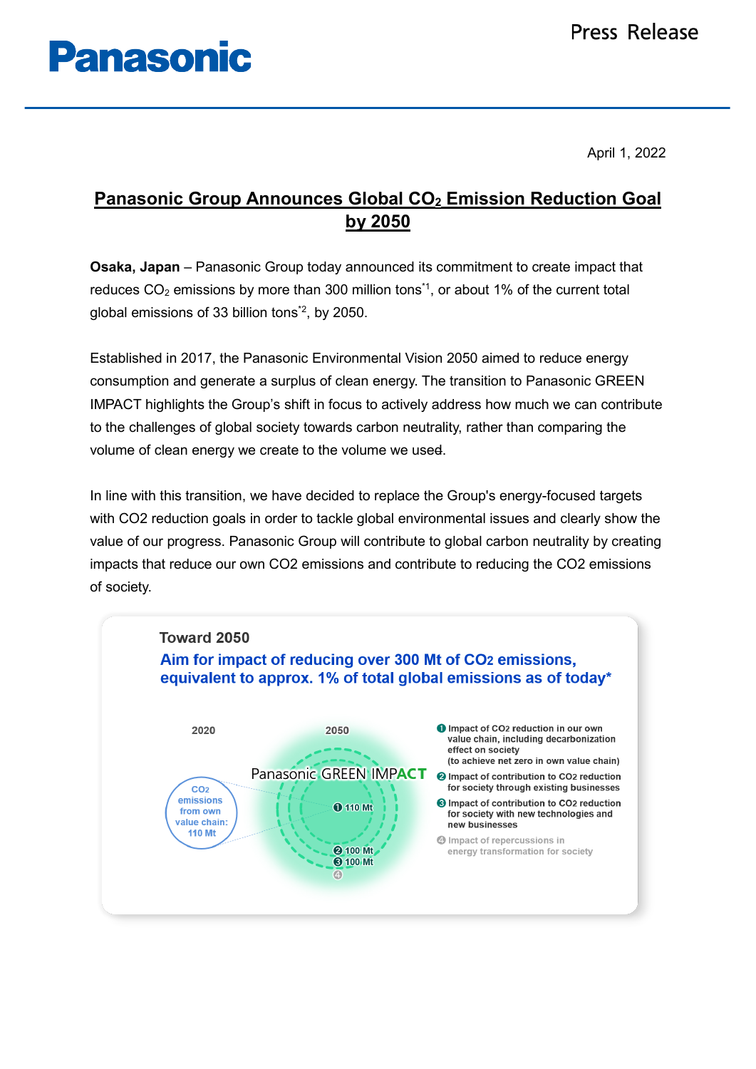# **Panasonic**

April 1, 2022

## **Panasonic Group Announces Global CO2 Emission Reduction Goal by 2050**

**Osaka, Japan** – Panasonic Group today announced its commitment to create impact that reduces  $CO<sub>2</sub>$  emissions by more than 300 million tons<sup>\*1</sup>, or about 1% of the current total global emissions of 33 billion tons\*2, by 2050.

Established in 2017, the Panasonic Environmental Vision 2050 aimed to reduce energy consumption and generate a surplus of clean energy. The transition to Panasonic GREEN IMPACT highlights the Group's shift in focus to actively address how much we can contribute to the challenges of global society towards carbon neutrality, rather than comparing the volume of clean energy we create to the volume we used.

In line with this transition, we have decided to replace the Group's energy-focused targets with CO2 reduction goals in order to tackle global environmental issues and clearly show the value of our progress. Panasonic Group will contribute to global carbon neutrality by creating impacts that reduce our own CO2 emissions and contribute to reducing the CO2 emissions of society.

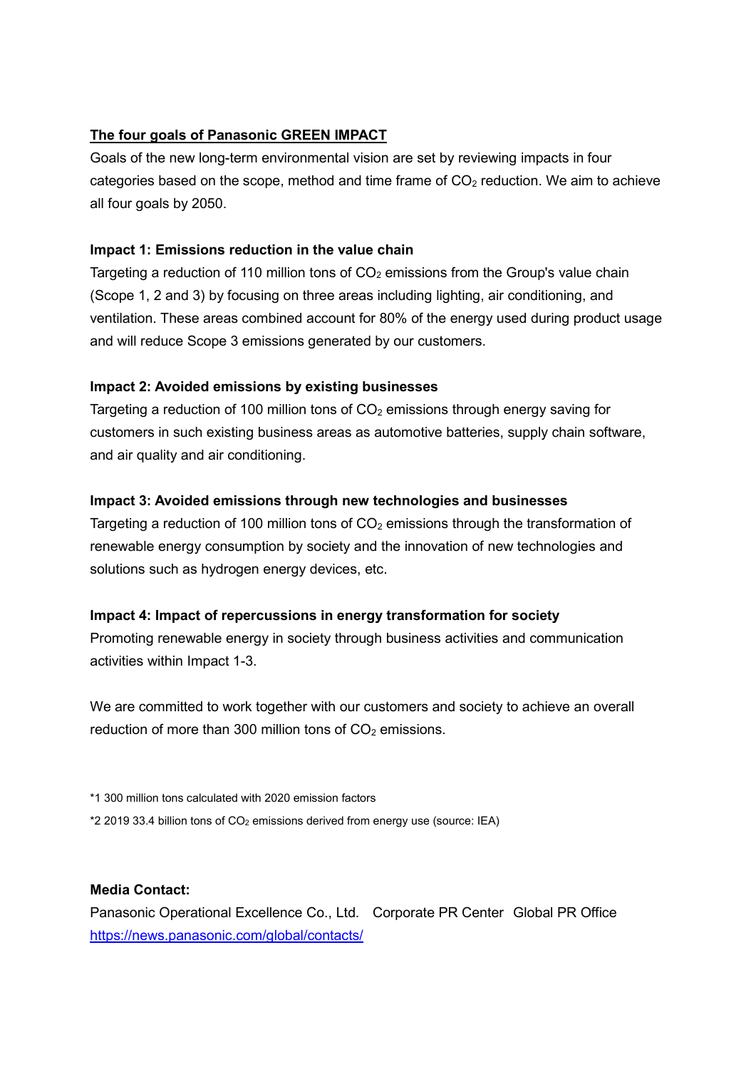#### **The four goals of Panasonic GREEN IMPACT**

Goals of the new long-term environmental vision are set by reviewing impacts in four categories based on the scope, method and time frame of  $CO<sub>2</sub>$  reduction. We aim to achieve all four goals by 2050.

#### **Impact 1: Emissions reduction in the value chain**

Targeting a reduction of 110 million tons of  $CO<sub>2</sub>$  emissions from the Group's value chain (Scope 1, 2 and 3) by focusing on three areas including lighting, air conditioning, and ventilation. These areas combined account for 80% of the energy used during product usage and will reduce Scope 3 emissions generated by our customers.

### **Impact 2: Avoided emissions by existing businesses**

Targeting a reduction of 100 million tons of  $CO<sub>2</sub>$  emissions through energy saving for customers in such existing business areas as automotive batteries, supply chain software, and air quality and air conditioning.

### **Impact 3: Avoided emissions through new technologies and businesses**

Targeting a reduction of 100 million tons of  $CO<sub>2</sub>$  emissions through the transformation of renewable energy consumption by society and the innovation of new technologies and solutions such as hydrogen energy devices, etc.

### **Impact 4: Impact of repercussions in energy transformation for society**

Promoting renewable energy in society through business activities and communication activities within Impact 1-3.

We are committed to work together with our customers and society to achieve an overall reduction of more than 300 million tons of  $CO<sub>2</sub>$  emissions.

\*1 300 million tons calculated with 2020 emission factors

\*2 2019 33.4 billion tons of CO2 emissions derived from energy use (source: IEA)

#### **Media Contact:**

Panasonic Operational Excellence Co., Ltd. Corporate PR Center Global PR Office <https://news.panasonic.com/global/contacts/>